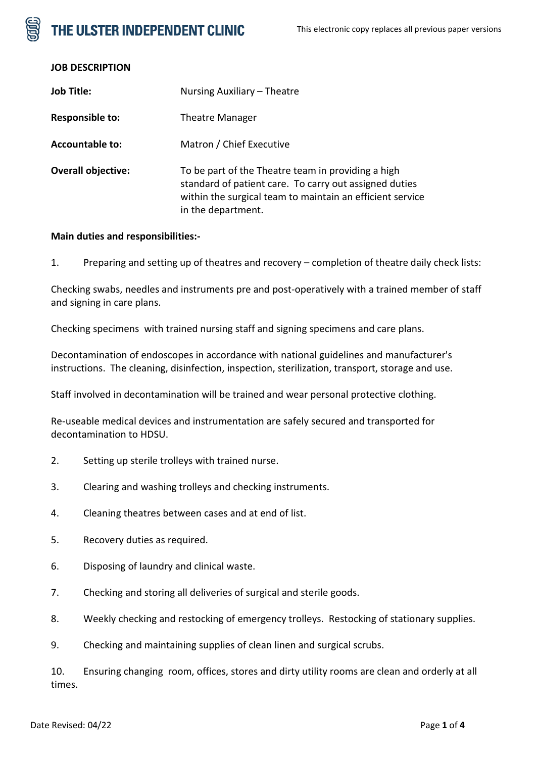# THE ULSTER INDEPENDENT CLINIC

| <b>JOB DESCRIPTION</b> |  |
|------------------------|--|

| <b>Job Title:</b>         | Nursing Auxiliary - Theatre                                                                                                                                                                     |
|---------------------------|-------------------------------------------------------------------------------------------------------------------------------------------------------------------------------------------------|
| Responsible to:           | <b>Theatre Manager</b>                                                                                                                                                                          |
| <b>Accountable to:</b>    | Matron / Chief Executive                                                                                                                                                                        |
| <b>Overall objective:</b> | To be part of the Theatre team in providing a high<br>standard of patient care. To carry out assigned duties<br>within the surgical team to maintain an efficient service<br>in the department. |

#### **Main duties and responsibilities:-**

1. Preparing and setting up of theatres and recovery – completion of theatre daily check lists:

Checking swabs, needles and instruments pre and post-operatively with a trained member of staff and signing in care plans.

Checking specimens with trained nursing staff and signing specimens and care plans.

Decontamination of endoscopes in accordance with national guidelines and manufacturer's instructions. The cleaning, disinfection, inspection, sterilization, transport, storage and use.

Staff involved in decontamination will be trained and wear personal protective clothing.

Re-useable medical devices and instrumentation are safely secured and transported for decontamination to HDSU.

- 2. Setting up sterile trolleys with trained nurse.
- 3. Clearing and washing trolleys and checking instruments.
- 4. Cleaning theatres between cases and at end of list.
- 5. Recovery duties as required.
- 6. Disposing of laundry and clinical waste.
- 7. Checking and storing all deliveries of surgical and sterile goods.
- 8. Weekly checking and restocking of emergency trolleys. Restocking of stationary supplies.
- 9. Checking and maintaining supplies of clean linen and surgical scrubs.

10. Ensuring changing room, offices, stores and dirty utility rooms are clean and orderly at all times.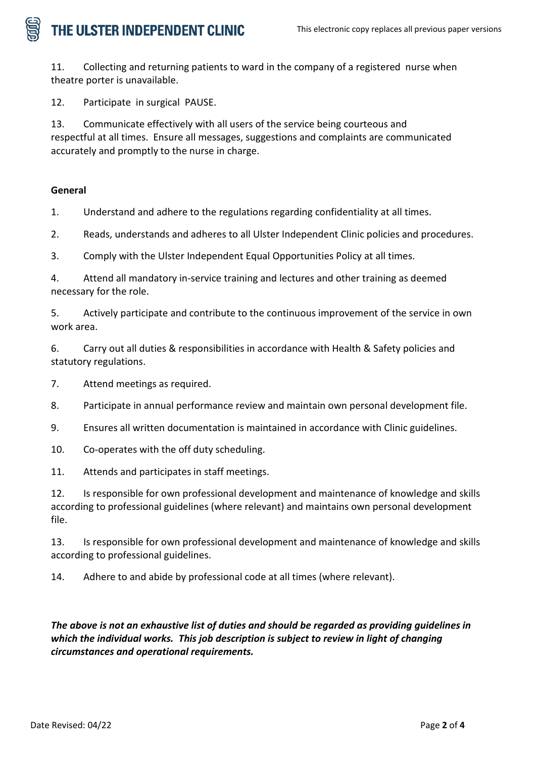## THE ULSTER INDEPENDENT CLINIC

11. Collecting and returning patients to ward in the company of a registered nurse when theatre porter is unavailable.

12. Participate in surgical PAUSE.

13. Communicate effectively with all users of the service being courteous and respectful at all times. Ensure all messages, suggestions and complaints are communicated accurately and promptly to the nurse in charge.

### **General**

1. Understand and adhere to the regulations regarding confidentiality at all times.

2. Reads, understands and adheres to all Ulster Independent Clinic policies and procedures.

3. Comply with the Ulster Independent Equal Opportunities Policy at all times.

4. Attend all mandatory in-service training and lectures and other training as deemed necessary for the role.

5. Actively participate and contribute to the continuous improvement of the service in own work area.

6. Carry out all duties & responsibilities in accordance with Health & Safety policies and statutory regulations.

7. Attend meetings as required.

8. Participate in annual performance review and maintain own personal development file.

9. Ensures all written documentation is maintained in accordance with Clinic guidelines.

10. Co-operates with the off duty scheduling.

11. Attends and participates in staff meetings.

12. Is responsible for own professional development and maintenance of knowledge and skills according to professional guidelines (where relevant) and maintains own personal development file.

13. Is responsible for own professional development and maintenance of knowledge and skills according to professional guidelines.

14. Adhere to and abide by professional code at all times (where relevant).

*The above is not an exhaustive list of duties and should be regarded as providing guidelines in which the individual works. This job description is subject to review in light of changing circumstances and operational requirements.*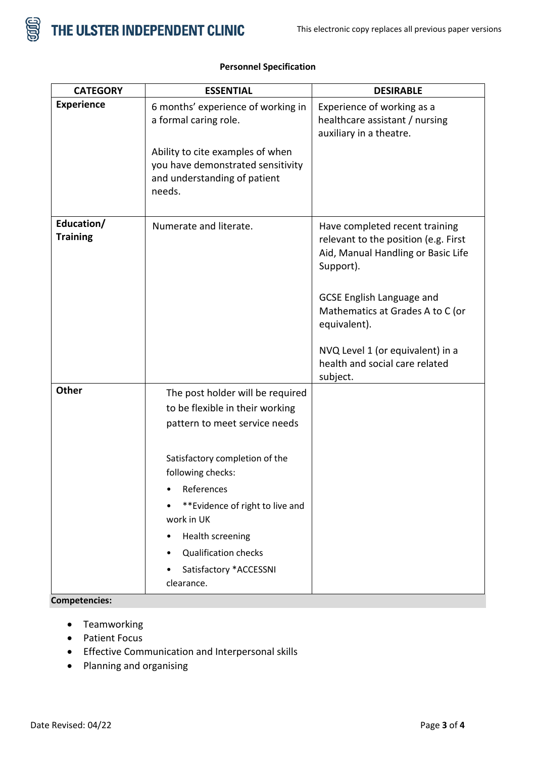

| <b>CATEGORY</b>               | <b>ESSENTIAL</b>                                                                                                                                                                                                                                                              | <b>DESIRABLE</b>                                                                                                                                                                                                  |
|-------------------------------|-------------------------------------------------------------------------------------------------------------------------------------------------------------------------------------------------------------------------------------------------------------------------------|-------------------------------------------------------------------------------------------------------------------------------------------------------------------------------------------------------------------|
| <b>Experience</b>             | 6 months' experience of working in<br>a formal caring role.<br>Ability to cite examples of when<br>you have demonstrated sensitivity<br>and understanding of patient<br>needs.                                                                                                | Experience of working as a<br>healthcare assistant / nursing<br>auxiliary in a theatre.                                                                                                                           |
|                               |                                                                                                                                                                                                                                                                               |                                                                                                                                                                                                                   |
| Education/<br><b>Training</b> | Numerate and literate.                                                                                                                                                                                                                                                        | Have completed recent training<br>relevant to the position (e.g. First<br>Aid, Manual Handling or Basic Life<br>Support).<br><b>GCSE English Language and</b><br>Mathematics at Grades A to C (or<br>equivalent). |
|                               |                                                                                                                                                                                                                                                                               | NVQ Level 1 (or equivalent) in a<br>health and social care related<br>subject.                                                                                                                                    |
| <b>Other</b>                  | The post holder will be required<br>to be flexible in their working<br>pattern to meet service needs<br>Satisfactory completion of the<br>following checks:<br>References<br>**Evidence of right to live and<br>work in UK<br>Health screening<br><b>Qualification checks</b> |                                                                                                                                                                                                                   |
|                               | Satisfactory *ACCESSNI<br>clearance.                                                                                                                                                                                                                                          |                                                                                                                                                                                                                   |

### **Personnel Specification**

**Competencies:**

- Teamworking
- Patient Focus
- Effective Communication and Interpersonal skills
- Planning and organising